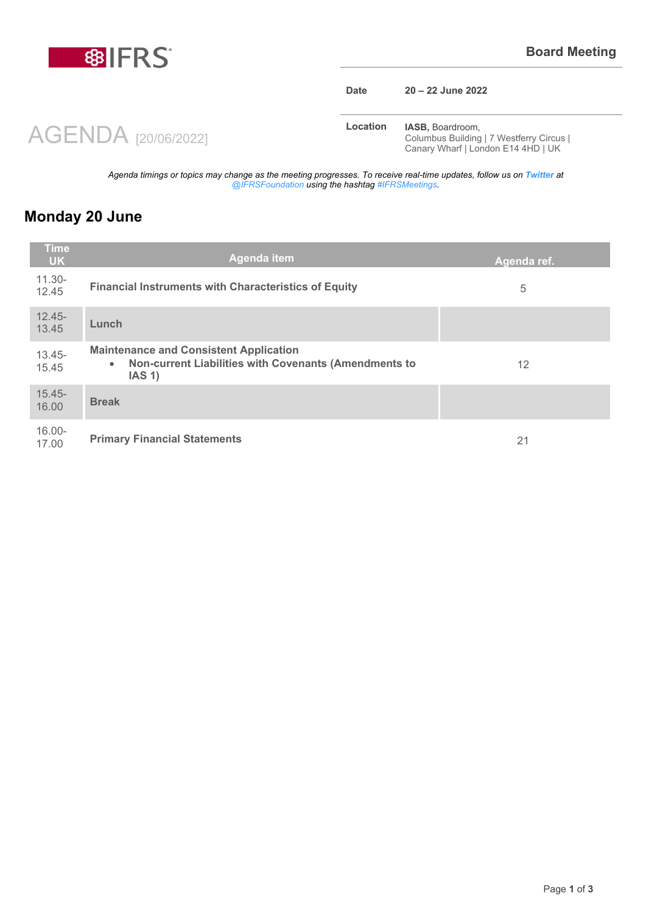

AGENDA [20/06/2022]

#### **Date 20 – 22 June 2022**

**Location <b>IASB**, Boardroom, Columbus Building | 7 Westferry Circus | Canary Wharf | London E14 4HD | UK

*Agenda timings or topics may change as the meeting progresses. To receive real-time updates, follow us on Twitter at @IFRSFoundation using the hashtag #IFRSMeetings.*

## **Monday 20 June**

| Time<br><b>UK</b>  | <b>Agenda item</b>                                                                                                            | Agenda ref. |
|--------------------|-------------------------------------------------------------------------------------------------------------------------------|-------------|
| $11.30 -$<br>12.45 | <b>Financial Instruments with Characteristics of Equity</b>                                                                   | 5           |
| $12.45 -$<br>13.45 | Lunch                                                                                                                         |             |
| $13.45 -$<br>15.45 | <b>Maintenance and Consistent Application</b><br>Non-current Liabilities with Covenants (Amendments to<br>$\bullet$<br>IAS 1) | 12          |
| $15.45 -$<br>16.00 | <b>Break</b>                                                                                                                  |             |
| $16.00 -$<br>17.00 | <b>Primary Financial Statements</b>                                                                                           | 21          |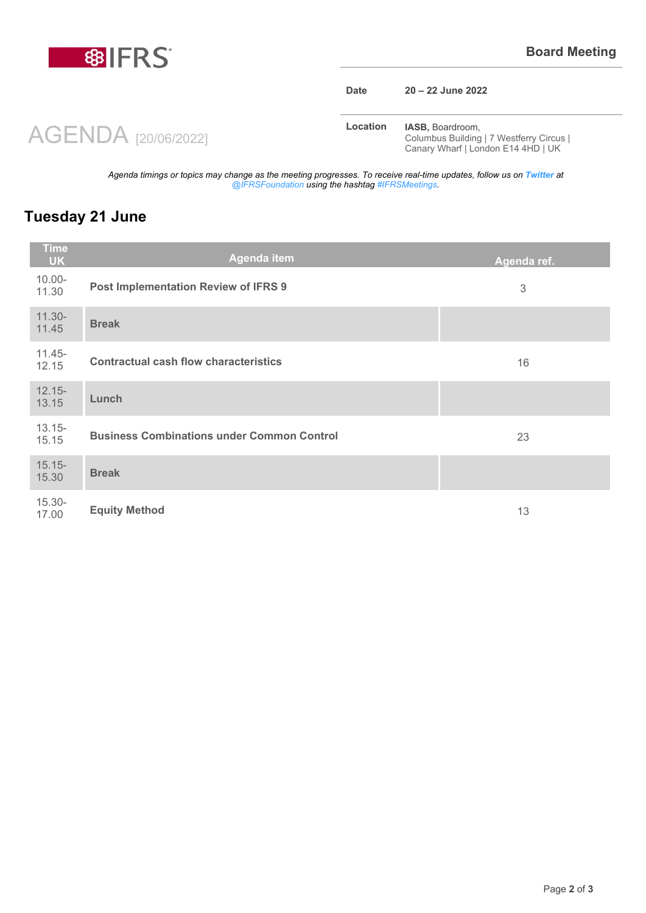

AGENDA [20/06/2022]

#### **Date 20 – 22 June 2022**

**Location <b>IASB**, Boardroom, Columbus Building | 7 Westferry Circus | Canary Wharf | London E14 4HD | UK

*Agenda timings or topics may change as the meeting progresses. To receive real-time updates, follow us on Twitter at @IFRSFoundation using the hashtag #IFRSMeetings.*

## **Tuesday 21 June**

| <b>Time</b><br><b>UK</b> | <b>Agenda item</b>                                | Agenda ref.               |
|--------------------------|---------------------------------------------------|---------------------------|
| $10.00 -$<br>11.30       | Post Implementation Review of IFRS 9              | $\ensuremath{\mathbf{3}}$ |
| $11.30 -$<br>11.45       | <b>Break</b>                                      |                           |
| $11.45 -$<br>12.15       | <b>Contractual cash flow characteristics</b>      | 16                        |
| $12.15 -$<br>13.15       | Lunch                                             |                           |
| $13.15 -$<br>15.15       | <b>Business Combinations under Common Control</b> | 23                        |
| $15.15 -$<br>15.30       | <b>Break</b>                                      |                           |
| $15.30 -$<br>17.00       | <b>Equity Method</b>                              | 13                        |